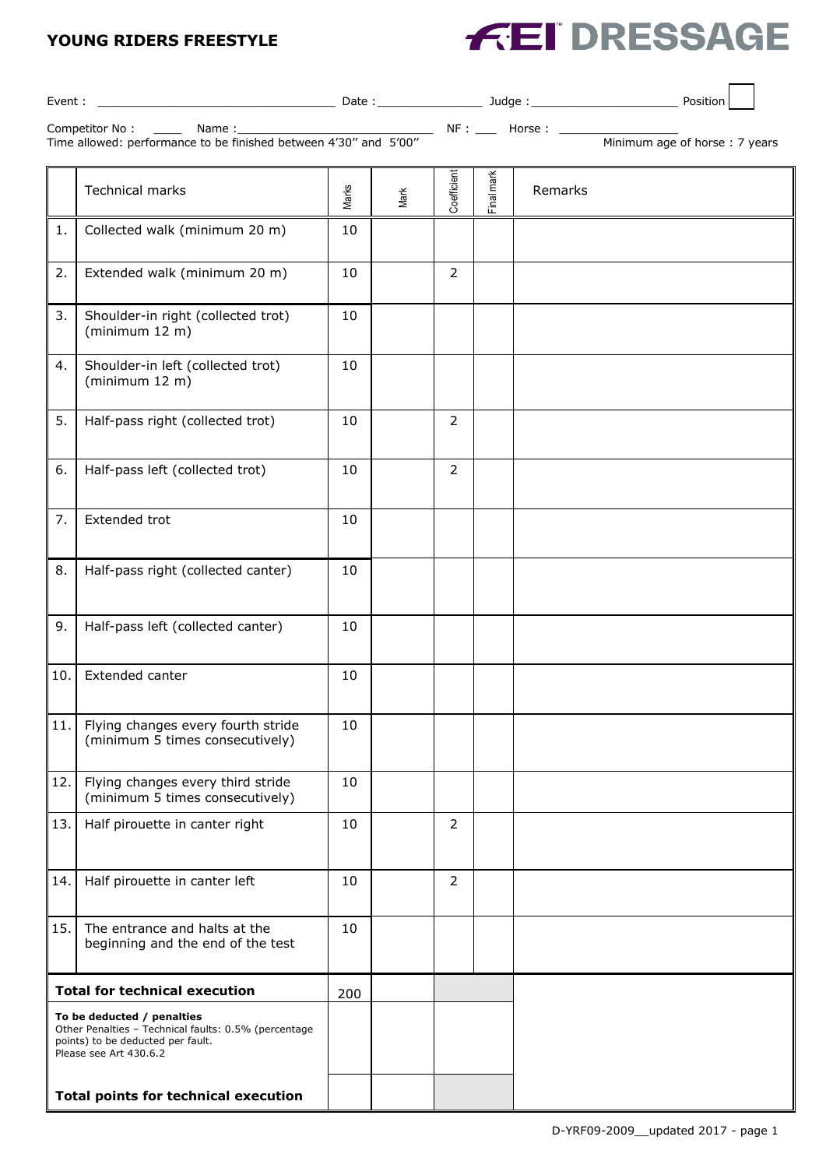## **YOUNG RIDERS FREESTYLE**



|                                                                                                                                                   |                                                                       |       |      |                | _ NF : ___ Horse : ____ |         | Minimum age of horse: 7 years |
|---------------------------------------------------------------------------------------------------------------------------------------------------|-----------------------------------------------------------------------|-------|------|----------------|-------------------------|---------|-------------------------------|
|                                                                                                                                                   | <b>Technical marks</b>                                                | Marks | Mark | Coefficient    | Final mark              | Remarks |                               |
| 1.                                                                                                                                                | Collected walk (minimum 20 m)                                         | 10    |      |                |                         |         |                               |
| 2.                                                                                                                                                | Extended walk (minimum 20 m)                                          | 10    |      | $\overline{2}$ |                         |         |                               |
| 3.                                                                                                                                                | Shoulder-in right (collected trot)<br>(minimum 12 m)                  | 10    |      |                |                         |         |                               |
| 4.                                                                                                                                                | Shoulder-in left (collected trot)<br>(minimum 12 m)                   | 10    |      |                |                         |         |                               |
| 5.                                                                                                                                                | Half-pass right (collected trot)                                      | 10    |      | 2              |                         |         |                               |
| 6.                                                                                                                                                | Half-pass left (collected trot)                                       | 10    |      | $\overline{2}$ |                         |         |                               |
| 7.                                                                                                                                                | Extended trot                                                         | 10    |      |                |                         |         |                               |
| 8.                                                                                                                                                | Half-pass right (collected canter)                                    | 10    |      |                |                         |         |                               |
| 9.                                                                                                                                                | Half-pass left (collected canter)                                     | 10    |      |                |                         |         |                               |
| 10.                                                                                                                                               | Extended canter                                                       | 10    |      |                |                         |         |                               |
| 11.                                                                                                                                               | Flying changes every fourth stride<br>(minimum 5 times consecutively) | 10    |      |                |                         |         |                               |
| 12.                                                                                                                                               | Flying changes every third stride<br>(minimum 5 times consecutively)  | 10    |      |                |                         |         |                               |
| 13.                                                                                                                                               | Half pirouette in canter right                                        | 10    |      | $\overline{2}$ |                         |         |                               |
| 14.                                                                                                                                               | Half pirouette in canter left                                         | 10    |      | 2              |                         |         |                               |
| 15.                                                                                                                                               | The entrance and halts at the<br>beginning and the end of the test    | 10    |      |                |                         |         |                               |
| <b>Total for technical execution</b>                                                                                                              |                                                                       | 200   |      |                |                         |         |                               |
| To be deducted / penalties<br>Other Penalties - Technical faults: 0.5% (percentage<br>points) to be deducted per fault.<br>Please see Art 430.6.2 |                                                                       |       |      |                |                         |         |                               |
| <b>Total points for technical execution</b>                                                                                                       |                                                                       |       |      |                |                         |         |                               |